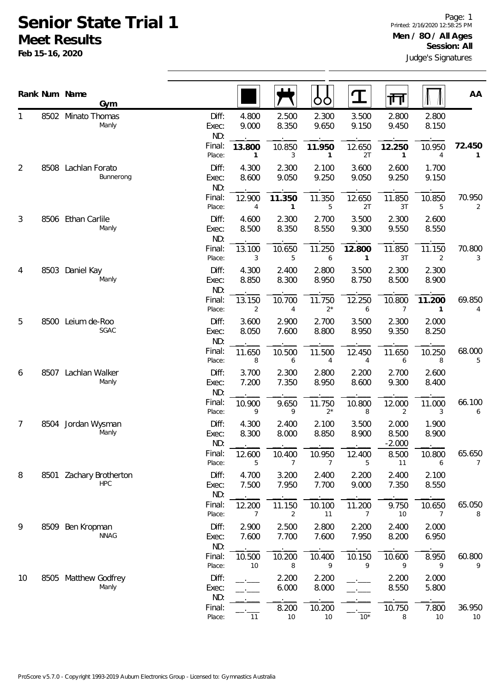## **Senior State Trial 1 Meet Results**

**Feb 15-16, 2020**

|                |      | Rank Num Name<br>Gym                  |                       |                |                | OO                     | $\mathbf T$              | गा                         |                          | AA           |
|----------------|------|---------------------------------------|-----------------------|----------------|----------------|------------------------|--------------------------|----------------------------|--------------------------|--------------|
| 1              |      | 8502 Minato Thomas<br>Manly           | Diff:<br>Exec:<br>ND: | 4.800<br>9.000 | 2.500<br>8.350 | 2.300<br>9.650         | 3.500<br>9.150           | 2.800<br>9.450             | 2.800<br>8.150           |              |
|                |      |                                       | Final:<br>Place:      | 13.800<br>1    | 10.850<br>3    | 11.950<br>$\mathbf{1}$ | 12.650<br>2T             | 12.250<br>$\mathbf{1}$     | 10.950<br>$\overline{4}$ | 72.450<br>1  |
| $\overline{2}$ | 8508 | Lachlan Forato<br>Bunnerong           | Diff:<br>Exec:<br>ND: | 4.300<br>8.600 | 2.300<br>9.050 | 2.100<br>9.250         | 3.600<br>9.050           | 2.600<br>9.250             | 1.700<br>9.150           |              |
|                |      |                                       | Final:<br>Place:      | 12.900<br>4    | 11.350<br>1    | 11.350<br>5            | 12.650<br>2T             | 11.850<br>3T               | 10.850<br>5              | 70.950<br>2  |
| 3              |      | 8506 Ethan Carlile<br>Manly           | Diff:<br>Exec:<br>ND: | 4.600<br>8.500 | 2.300<br>8.350 | 2.700<br>8.550         | 3.500<br>9.300           | 2.300<br>9.550             | 2.600<br>8.550           |              |
|                |      |                                       | Final:<br>Place:      | 13.100<br>3    | 10.650<br>5    | 11.250<br>6            | 12.800<br>$\mathbf{1}$   | 11.850<br>3T               | 11.150<br>$\overline{2}$ | 70.800<br>3  |
| 4              | 8503 | Daniel Kay<br>Manly                   | Diff:<br>Exec:<br>ND: | 4.300<br>8.850 | 2.400<br>8.300 | 2.800<br>8.950         | 3.500<br>8.750           | 2.300<br>8.500             | 2.300<br>8.900           |              |
|                |      |                                       | Final:<br>Place:      | 13.150<br>2    | 10.700<br>4    | 11.750<br>$2^*$        | 12.250<br>6              | 10.800<br>7                | 11.200<br>1              | 69.850<br>4  |
| 5              | 8500 | Leium de-Roo<br>SGAC                  | Diff:<br>Exec:<br>ND: | 3.600<br>8.050 | 2.900<br>7.600 | 2.700<br>8.800         | 3.500<br>8.950           | 2.300<br>9.350             | 2.000<br>8.250           |              |
|                |      |                                       | Final:<br>Place:      | 11.650<br>8    | 10.500<br>6    | 11.500<br>4            | 12.450<br>$\overline{4}$ | 11.650<br>6                | 10.250<br>8              | 68.000<br>5  |
| 6              | 8507 | Lachlan Walker<br>Manly               | Diff:<br>Exec:<br>ND: | 3.700<br>7.200 | 2.300<br>7.350 | 2.800<br>8.950         | 2.200<br>8.600           | 2.700<br>9.300             | 2.600<br>8.400           |              |
|                |      |                                       | Final:<br>Place:      | 10.900<br>9    | 9.650<br>9     | 11.750<br>$2^*$        | 10.800<br>8              | 12.000<br>$\overline{2}$   | 11.000<br>3              | 66.100<br>6  |
| 7              |      | 8504 Jordan Wysman<br>Manly           | Diff:<br>Exec:<br>ND: | 4.300<br>8.300 | 2.400<br>8.000 | 2.100<br>8.850         | 3.500<br>8.900           | 2.000<br>8.500<br>$-2.000$ | 1.900<br>8.900           |              |
|                |      |                                       | Final:<br>Place:      | 12.600<br>5    | 10.400<br>7    | 10.950                 | 12.400<br>5              | 8.500<br>11                | 10.800<br>6              | 65.650<br>7  |
| 8              |      | 8501 Zachary Brotherton<br><b>HPC</b> | Diff:<br>Exec:<br>ND: | 4.700<br>7.500 | 3.200<br>7.950 | 2.400<br>7.700         | 2.200<br>9.000           | 2.400<br>7.350             | 2.100<br>8.550           |              |
|                |      |                                       | Final:<br>Place:      | 12.200<br>7    | 11.150<br>2    | 10.100<br>11           | 11.200<br>7              | 9.750<br>10                | 10.650<br>7              | 65.050<br>8  |
| 9              | 8509 | Ben Kropman<br><b>NNAG</b>            | Diff:<br>Exec:<br>ND: | 2.900<br>7.600 | 2.500<br>7.700 | 2.800<br>7.600         | 2.200<br>7.950           | 2.400<br>8.200             | 2.000<br>6.950           |              |
|                |      |                                       | Final:<br>Place:      | 10.500<br>10   | 10.200<br>8    | 10.400<br>9            | 10.150<br>9              | 10.600<br>9                | 8.950<br>9               | 60.800<br>9  |
| 10             |      | 8505 Matthew Godfrey<br>Manly         | Diff:<br>Exec:<br>ND: |                | 2.200<br>6.000 | 2.200<br>8.000         |                          | 2.200<br>8.550             | 2.000<br>5.800           |              |
|                |      |                                       | Final:<br>Place:      | 11             | 8.200<br>10    | 10.200<br>$10$         | $10*$                    | 10.750<br>8                | 7.800<br>10              | 36.950<br>10 |